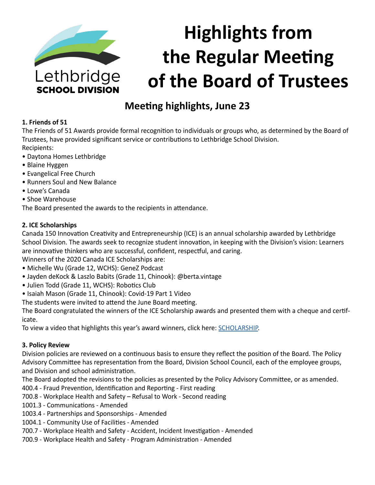

# **Highlights from the Regular Meeting of the Board of Trustees**

# **Meeting highlights, June 23**

# **1. Friends of 51**

The Friends of 51 Awards provide formal recognition to individuals or groups who, as determined by the Board of Trustees, have provided significant service or contributions to Lethbridge School Division. Recipients:

- Daytona Homes Lethbridge
- Blaine Hyggen
- Evangelical Free Church
- Runners Soul and New Balance
- Lowe's Canada
- Shoe Warehouse

The Board presented the awards to the recipients in attendance.

# **2. ICE Scholarships**

Canada 150 Innovation Creativity and Entrepreneurship (ICE) is an annual scholarship awarded by Lethbridge School Division. The awards seek to recognize student innovation, in keeping with the Division's vision: Learners are innovative thinkers who are successful, confident, respectful, and caring.

Winners of the 2020 Canada ICE Scholarships are:

- Michelle Wu (Grade 12, WCHS): GeneZ Podcast
- Jayden deKock & Laszlo Babits (Grade 11, Chinook): @berta.vintage
- Julien Todd (Grade 11, WCHS): Robotics Club
- Isaiah Mason (Grade 11, Chinook): Covid-19 Part 1 Video
- The students were invited to attend the June Board meeting.

The Board congratulated the winners of the ICE Scholarship awards and presented them with a cheque and certificate.

To view a video that highlights this year's award winners, click here: [SCHOLARSHIP](https://www.lethsd.ab.ca/our-district/news/post/ice-scholarship-winners-announced).

# **3. Policy Review**

Division policies are reviewed on a continuous basis to ensure they reflect the position of the Board. The Policy Advisory Committee has representation from the Board, Division School Council, each of the employee groups, and Division and school administration.

The Board adopted the revisions to the policies as presented by the Policy Advisory Committee, or as amended.

400.4 - Fraud Prevention, Identification and Reporting - First reading

700.8 - Workplace Health and Safety – Refusal to Work - Second reading

- 1001.3 Communications Amended
- 1003.4 Partnerships and Sponsorships Amended
- 1004.1 Community Use of Facilities Amended
- 700.7 Workplace Health and Safety Accident, Incident Investigation Amended
- 700.9 Workplace Health and Safety Program Administration Amended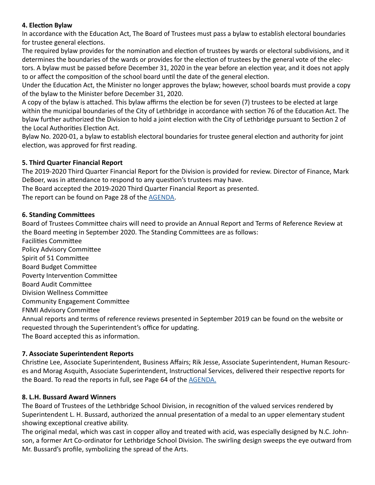# **4. Election Bylaw**

In accordance with the Education Act, The Board of Trustees must pass a bylaw to establish electoral boundaries for trustee general elections.

The required bylaw provides for the nomination and election of trustees by wards or electoral subdivisions, and it determines the boundaries of the wards or provides for the election of trustees by the general vote of the electors. A bylaw must be passed before December 31, 2020 in the year before an election year, and it does not apply to or affect the composition of the school board until the date of the general election.

Under the Education Act, the Minister no longer approves the bylaw; however, school boards must provide a copy of the bylaw to the Minister before December 31, 2020.

A copy of the bylaw is attached. This bylaw affirms the election be for seven (7) trustees to be elected at large within the municipal boundaries of the City of Lethbridge in accordance with section 76 of the Education Act. The bylaw further authorized the Division to hold a joint election with the City of Lethbridge pursuant to Section 2 of the Local Authorities Election Act.

Bylaw No. 2020-01, a bylaw to establish electoral boundaries for trustee general election and authority for joint election, was approved for first reading.

# **5. Third Quarter Financial Report**

The 2019-2020 Third Quarter Financial Report for the Division is provided for review. Director of Finance, Mark DeBoer, was in attendance to respond to any question's trustees may have.

The Board accepted the 2019-2020 Third Quarter Financial Report as presented.

The report can be found on Page 28 of the [AGENDA.](https://www.lethsd.ab.ca/download/279191)

# **6. Standing Committees**

Board of Trustees Committee chairs will need to provide an Annual Report and Terms of Reference Review at the Board meeting in September 2020. The Standing Committees are as follows:

Facilities Committee Policy Advisory Committee Spirit of 51 Committee Board Budget Committee Poverty Intervention Committee Board Audit Committee Division Wellness Committee Community Engagement Committee FNMI Advisory Committee Annual reports and terms of reference reviews presented in September 2019 can be found on the website or requested through the Superintendent's office for updating.

The Board accepted this as information.

# **7. Associate Superintendent Reports**

Christine Lee, Associate Superintendent, Business Affairs; Rik Jesse, Associate Superintendent, Human Resources and Morag Asquith, Associate Superintendent, Instructional Services, delivered their respective reports for the Board. To read the reports in full, see Page 64 of the **AGENDA**.

# **8. L.H. Bussard Award Winners**

The Board of Trustees of the Lethbridge School Division, in recognition of the valued services rendered by Superintendent L. H. Bussard, authorized the annual presentation of a medal to an upper elementary student showing exceptional creative ability.

The original medal, which was cast in copper alloy and treated with acid, was especially designed by N.C. Johnson, a former Art Co-ordinator for Lethbridge School Division. The swirling design sweeps the eye outward from Mr. Bussard's profile, symbolizing the spread of the Arts.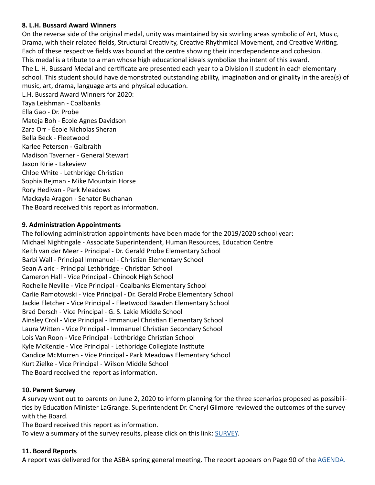#### **8. L.H. Bussard Award Winners**

On the reverse side of the original medal, unity was maintained by six swirling areas symbolic of Art, Music, Drama, with their related fields, Structural Creativity, Creative Rhythmical Movement, and Creative Writing. Each of these respective fields was bound at the centre showing their interdependence and cohesion. This medal is a tribute to a man whose high educational ideals symbolize the intent of this award. The L. H. Bussard Medal and certificate are presented each year to a Division II student in each elementary school. This student should have demonstrated outstanding ability, imagination and originality in the area(s) of music, art, drama, language arts and physical education. L.H. Bussard Award Winners for 2020: Taya Leishman - Coalbanks

Ella Gao - Dr. Probe Mateja Boh - École Agnes Davidson Zara Orr - École Nicholas Sheran Bella Beck - Fleetwood Karlee Peterson - Galbraith Madison Taverner - General Stewart Jaxon Ririe - Lakeview Chloe White - Lethbridge Christian Sophia Rejman - Mike Mountain Horse Rory Hedivan - Park Meadows Mackayla Aragon - Senator Buchanan

The Board received this report as information.

#### **9. Administration Appointments**

The following administration appointments have been made for the 2019/2020 school year: Michael Nightingale - Associate Superintendent, Human Resources, Education Centre Keith van der Meer - Principal - Dr. Gerald Probe Elementary School Barbi Wall - Principal Immanuel - Christian Elementary School Sean Alaric - Principal Lethbridge - Christian School Cameron Hall - Vice Principal - Chinook High School Rochelle Neville - Vice Principal - Coalbanks Elementary School Carlie Ramotowski - Vice Principal - Dr. Gerald Probe Elementary School Jackie Fletcher - Vice Principal - Fleetwood Bawden Elementary School Brad Dersch - Vice Principal - G. S. Lakie Middle School Ainsley Croil - Vice Principal - Immanuel Christian Elementary School Laura Witten - Vice Principal - Immanuel Christian Secondary School Lois Van Roon - Vice Principal - Lethbridge Christian School Kyle McKenzie - Vice Principal - Lethbridge Collegiate Institute Candice McMurren - Vice Principal - Park Meadows Elementary School Kurt Zielke - Vice Principal - Wilson Middle School The Board received the report as information.

# **10. Parent Survey**

A survey went out to parents on June 2, 2020 to inform planning for the three scenarios proposed as possibilities by Education Minister LaGrange. Superintendent Dr. Cheryl Gilmore reviewed the outcomes of the survey with the Board.

The Board received this report as information.

To view a summary of the survey results, please click on this link: [SURVEY.](http://www.lethsd.ab.ca/download/279653)

# **11. Board Reports**

A report was delivered for the ASBA spring general meeting. The report appears on Page 90 of the [AGENDA.](https://www.lethsd.ab.ca/download/279191)